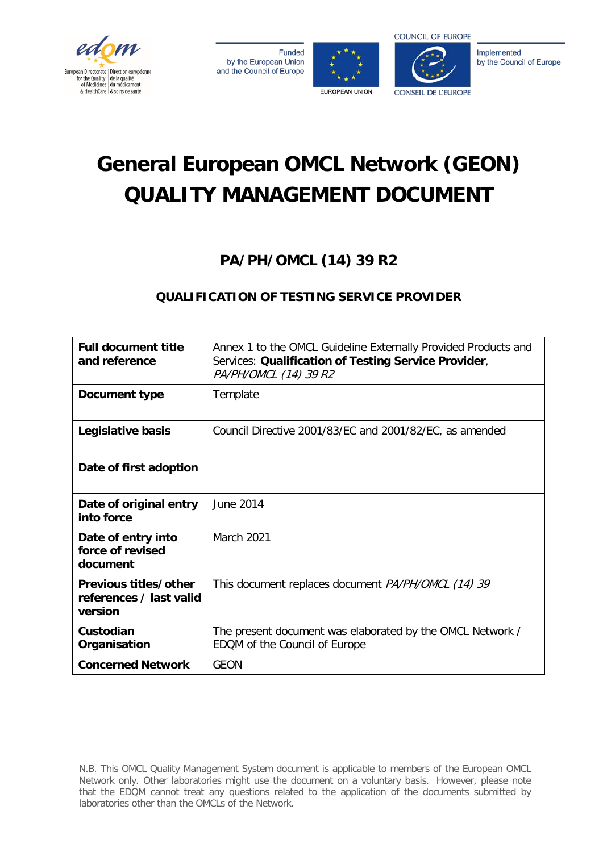

**Funded** by the European Union and the Council of Europe





Implemented by the Council of Europe

# **General European OMCL Network (GEON) QUALITY MANAGEMENT DOCUMENT**

# **PA/PH/OMCL (14) 39 R2**

# **QUALIFICATION OF TESTING SERVICE PROVIDER**

| <b>Full document title</b><br>and reference                 | Annex 1 to the OMCL Guideline Externally Provided Products and<br>Services: Qualification of Testing Service Provider,<br>PA/PH/OMCL (14) 39 R2 |
|-------------------------------------------------------------|-------------------------------------------------------------------------------------------------------------------------------------------------|
| Document type                                               | Template                                                                                                                                        |
| Legislative basis                                           | Council Directive 2001/83/EC and 2001/82/EC, as amended                                                                                         |
| Date of first adoption                                      |                                                                                                                                                 |
| Date of original entry<br>into force                        | June 2014                                                                                                                                       |
| Date of entry into<br>force of revised<br>document          | March 2021                                                                                                                                      |
| Previous titles/other<br>references / last valid<br>version | This document replaces document <i>PA/PH/OMCL (14) 39</i>                                                                                       |
| Custodian<br>Organisation                                   | The present document was elaborated by the OMCL Network /<br>EDQM of the Council of Europe                                                      |
| <b>Concerned Network</b>                                    | <b>GEON</b>                                                                                                                                     |

N.B. This OMCL Quality Management System document is applicable to members of the European OMCL Network only. Other laboratories might use the document on a voluntary basis. However, please note that the EDQM cannot treat any questions related to the application of the documents submitted by laboratories other than the OMCLs of the Network.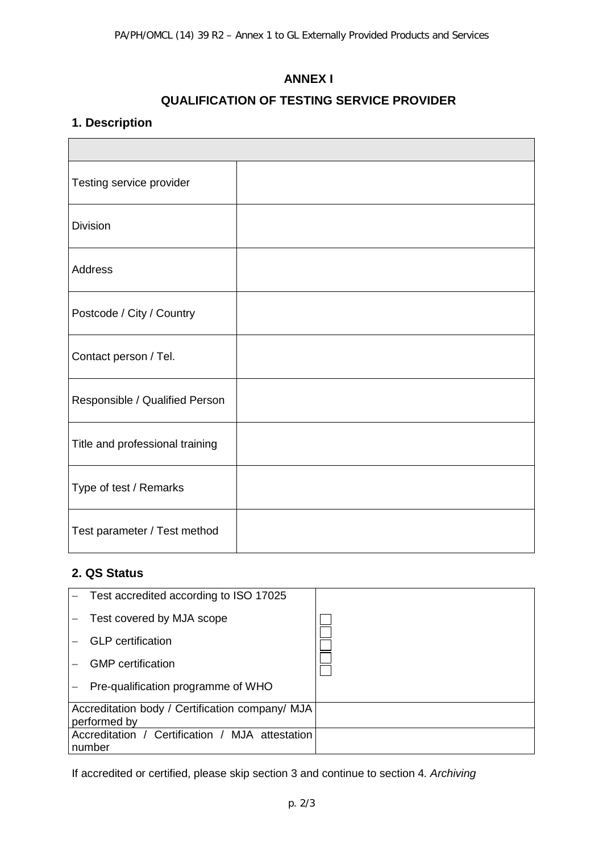#### **ANNEX I**

#### **QUALIFICATION OF TESTING SERVICE PROVIDER**

#### **1. Description**

| Testing service provider        |  |
|---------------------------------|--|
| <b>Division</b>                 |  |
| <b>Address</b>                  |  |
| Postcode / City / Country       |  |
| Contact person / Tel.           |  |
| Responsible / Qualified Person  |  |
| Title and professional training |  |
| Type of test / Remarks          |  |
| Test parameter / Test method    |  |

#### **2. QS Status**

| Test accredited according to ISO 17025                          |  |
|-----------------------------------------------------------------|--|
| Test covered by MJA scope                                       |  |
| <b>GLP</b> certification                                        |  |
| <b>GMP</b> certification                                        |  |
| Pre-qualification programme of WHO                              |  |
| Accreditation body / Certification company/ MJA<br>performed by |  |
| Accreditation / Certification / MJA attestation<br>number       |  |

If accredited or certified, please skip section 3 and continue to section 4*. Archiving*